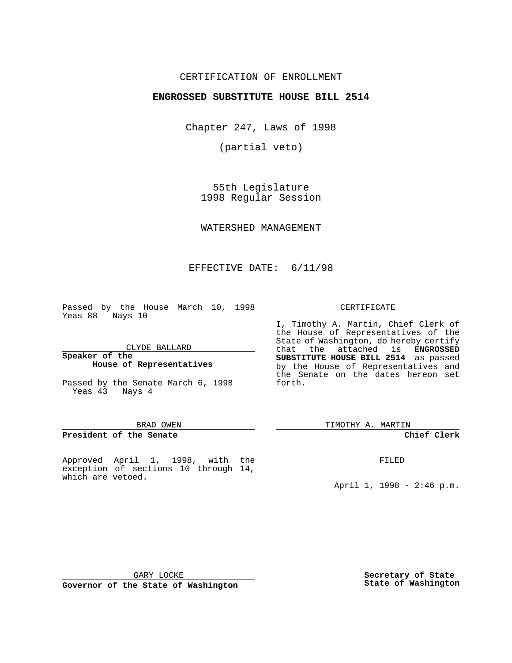## CERTIFICATION OF ENROLLMENT

## **ENGROSSED SUBSTITUTE HOUSE BILL 2514**

Chapter 247, Laws of 1998

(partial veto)

55th Legislature 1998 Regular Session

WATERSHED MANAGEMENT

# EFFECTIVE DATE: 6/11/98

Passed by the House March 10, 1998 Yeas 88 Nays 10

CLYDE BALLARD

**Speaker of the House of Representatives**

Passed by the Senate March 6, 1998 Yeas 43 Nays 4

#### BRAD OWEN

### **President of the Senate**

Approved April 1, 1998, with the exception of sections 10 through 14, which are vetoed.

#### CERTIFICATE

I, Timothy A. Martin, Chief Clerk of the House of Representatives of the State of Washington, do hereby certify that the attached is **ENGROSSED SUBSTITUTE HOUSE BILL 2514** as passed by the House of Representatives and the Senate on the dates hereon set forth.

TIMOTHY A. MARTIN

## **Chief Clerk**

FILED

April 1, 1998 - 2:46 p.m.

GARY LOCKE

**Governor of the State of Washington**

**Secretary of State State of Washington**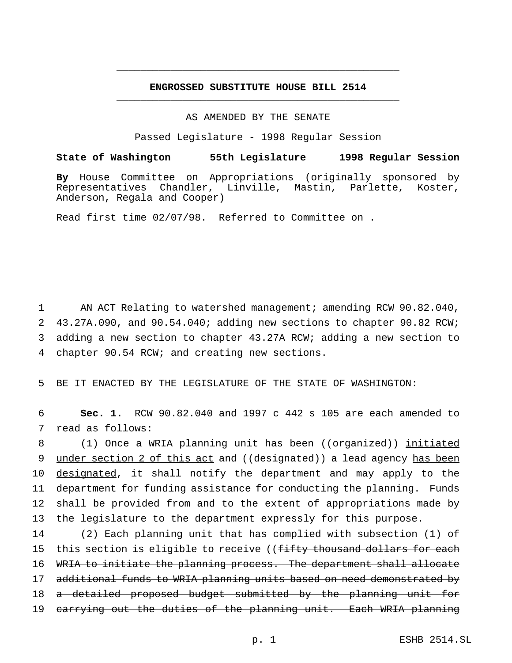# **ENGROSSED SUBSTITUTE HOUSE BILL 2514** \_\_\_\_\_\_\_\_\_\_\_\_\_\_\_\_\_\_\_\_\_\_\_\_\_\_\_\_\_\_\_\_\_\_\_\_\_\_\_\_\_\_\_\_\_\_\_

\_\_\_\_\_\_\_\_\_\_\_\_\_\_\_\_\_\_\_\_\_\_\_\_\_\_\_\_\_\_\_\_\_\_\_\_\_\_\_\_\_\_\_\_\_\_\_

### AS AMENDED BY THE SENATE

Passed Legislature - 1998 Regular Session

### **State of Washington 55th Legislature 1998 Regular Session**

**By** House Committee on Appropriations (originally sponsored by Representatives Chandler, Linville, Mastin, Parlette, Koster, Anderson, Regala and Cooper)

Read first time 02/07/98. Referred to Committee on .

 AN ACT Relating to watershed management; amending RCW 90.82.040, 43.27A.090, and 90.54.040; adding new sections to chapter 90.82 RCW; adding a new section to chapter 43.27A RCW; adding a new section to chapter 90.54 RCW; and creating new sections.

5 BE IT ENACTED BY THE LEGISLATURE OF THE STATE OF WASHINGTON:

6 **Sec. 1.** RCW 90.82.040 and 1997 c 442 s 105 are each amended to 7 read as follows:

8 (1) Once a WRIA planning unit has been ((organized)) initiated 9 under section 2 of this act and ((designated)) a lead agency has been 10 designated, it shall notify the department and may apply to the 11 department for funding assistance for conducting the planning. Funds 12 shall be provided from and to the extent of appropriations made by 13 the legislature to the department expressly for this purpose.

14 (2) Each planning unit that has complied with subsection (1) of 15 this section is eligible to receive ((fifty thousand dollars for each 16 WRIA to initiate the planning process. The department shall allocate 17 additional funds to WRIA planning units based on need demonstrated by 18 a detailed proposed budget submitted by the planning unit for 19 carrying out the duties of the planning unit. Each WRIA planning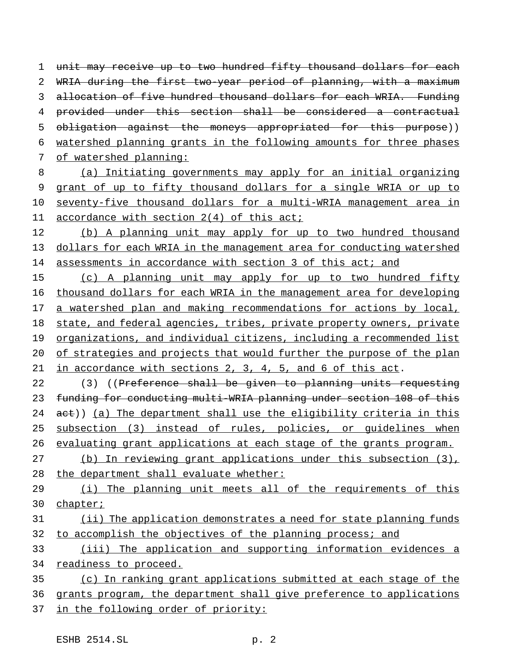1 unit may receive up to two hundred fifty thousand dollars for each WRIA during the first two-year period of planning, with a maximum allocation of five hundred thousand dollars for each WRIA. Funding provided under this section shall be considered a contractual 5 obligation against the moneys appropriated for this purpose)) watershed planning grants in the following amounts for three phases of watershed planning:

- 8 (a) Initiating governments may apply for an initial organizing 9 grant of up to fifty thousand dollars for a single WRIA or up to 10 seventy-five thousand dollars for a multi-WRIA management area in 11 accordance with section 2(4) of this act;
- 12 (b) A planning unit may apply for up to two hundred thousand 13 dollars for each WRIA in the management area for conducting watershed 14 assessments in accordance with section 3 of this act; and

15 (c) A planning unit may apply for up to two hundred fifty 16 thousand dollars for each WRIA in the management area for developing 17 a watershed plan and making recommendations for actions by local, 18 state, and federal agencies, tribes, private property owners, private 19 organizations, and individual citizens, including a recommended list 20 of strategies and projects that would further the purpose of the plan 21 in accordance with sections 2, 3, 4, 5, and 6 of this act.

22 (3) ((Preference shall be given to planning units requesting 23 funding for conducting multi-WRIA planning under section 108 of this 24 act)) (a) The department shall use the eligibility criteria in this 25 subsection (3) instead of rules, policies, or guidelines when 26 evaluating grant applications at each stage of the grants program.

27 (b) In reviewing grant applications under this subsection (3), 28 the department shall evaluate whether:

29 (i) The planning unit meets all of the requirements of this 30 chapter;

31 (ii) The application demonstrates a need for state planning funds 32 to accomplish the objectives of the planning process; and

33 (iii) The application and supporting information evidences a 34 readiness to proceed.

35 (c) In ranking grant applications submitted at each stage of the 36 grants program, the department shall give preference to applications 37 in the following order of priority: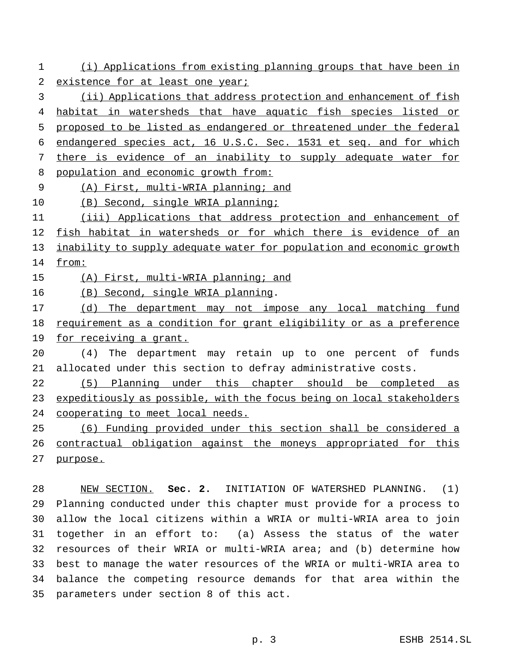(i) Applications from existing planning groups that have been in 2 existence for at least one year;

 (ii) Applications that address protection and enhancement of fish habitat in watersheds that have aquatic fish species listed or 5 proposed to be listed as endangered or threatened under the federal endangered species act, 16 U.S.C. Sec. 1531 et seq. and for which there is evidence of an inability to supply adequate water for population and economic growth from:

(A) First, multi-WRIA planning; and

10 (B) Second, single WRIA planning;

 (iii) Applications that address protection and enhancement of fish habitat in watersheds or for which there is evidence of an 13 inability to supply adequate water for population and economic growth from:

15 (A) First, multi-WRIA planning; and

(B) Second, single WRIA planning.

17 (d) The department may not impose any local matching fund 18 requirement as a condition for grant eligibility or as a preference 19 for receiving a grant.

 (4) The department may retain up to one percent of funds allocated under this section to defray administrative costs.

 (5) Planning under this chapter should be completed as 23 expeditiously as possible, with the focus being on local stakeholders cooperating to meet local needs.

 (6) Funding provided under this section shall be considered a contractual obligation against the moneys appropriated for this purpose.

 NEW SECTION. **Sec. 2.** INITIATION OF WATERSHED PLANNING. (1) Planning conducted under this chapter must provide for a process to allow the local citizens within a WRIA or multi-WRIA area to join together in an effort to: (a) Assess the status of the water resources of their WRIA or multi-WRIA area; and (b) determine how best to manage the water resources of the WRIA or multi-WRIA area to balance the competing resource demands for that area within the parameters under section 8 of this act.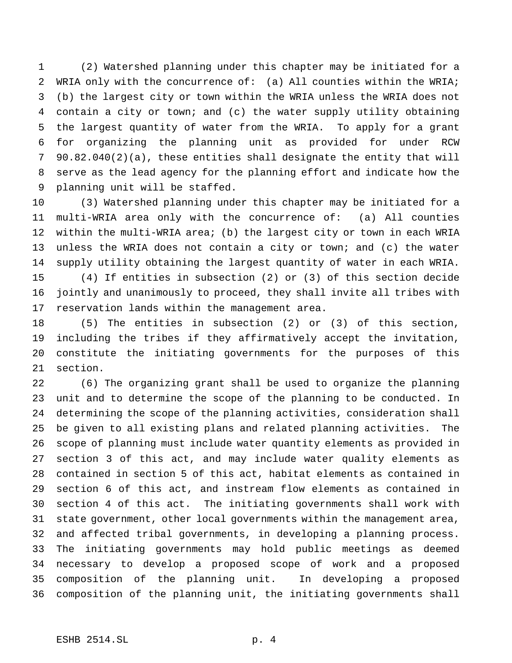(2) Watershed planning under this chapter may be initiated for a WRIA only with the concurrence of: (a) All counties within the WRIA; (b) the largest city or town within the WRIA unless the WRIA does not contain a city or town; and (c) the water supply utility obtaining the largest quantity of water from the WRIA. To apply for a grant for organizing the planning unit as provided for under RCW 90.82.040(2)(a), these entities shall designate the entity that will serve as the lead agency for the planning effort and indicate how the planning unit will be staffed.

 (3) Watershed planning under this chapter may be initiated for a multi-WRIA area only with the concurrence of: (a) All counties within the multi-WRIA area; (b) the largest city or town in each WRIA 13 unless the WRIA does not contain a city or town; and (c) the water supply utility obtaining the largest quantity of water in each WRIA. (4) If entities in subsection (2) or (3) of this section decide jointly and unanimously to proceed, they shall invite all tribes with reservation lands within the management area.

 (5) The entities in subsection (2) or (3) of this section, including the tribes if they affirmatively accept the invitation, constitute the initiating governments for the purposes of this section.

 (6) The organizing grant shall be used to organize the planning unit and to determine the scope of the planning to be conducted. In determining the scope of the planning activities, consideration shall be given to all existing plans and related planning activities. The scope of planning must include water quantity elements as provided in section 3 of this act, and may include water quality elements as contained in section 5 of this act, habitat elements as contained in section 6 of this act, and instream flow elements as contained in section 4 of this act. The initiating governments shall work with state government, other local governments within the management area, and affected tribal governments, in developing a planning process. The initiating governments may hold public meetings as deemed necessary to develop a proposed scope of work and a proposed composition of the planning unit. In developing a proposed composition of the planning unit, the initiating governments shall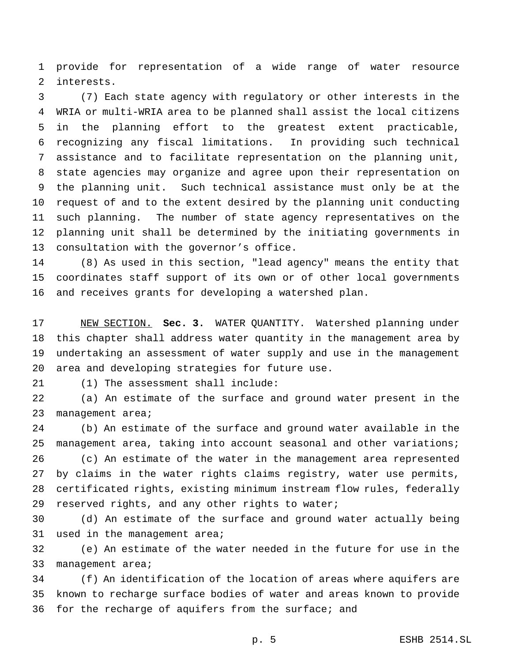provide for representation of a wide range of water resource interests.

 (7) Each state agency with regulatory or other interests in the WRIA or multi-WRIA area to be planned shall assist the local citizens in the planning effort to the greatest extent practicable, recognizing any fiscal limitations. In providing such technical assistance and to facilitate representation on the planning unit, state agencies may organize and agree upon their representation on the planning unit. Such technical assistance must only be at the request of and to the extent desired by the planning unit conducting such planning. The number of state agency representatives on the planning unit shall be determined by the initiating governments in consultation with the governor's office.

 (8) As used in this section, "lead agency" means the entity that coordinates staff support of its own or of other local governments and receives grants for developing a watershed plan.

 NEW SECTION. **Sec. 3.** WATER QUANTITY. Watershed planning under this chapter shall address water quantity in the management area by undertaking an assessment of water supply and use in the management area and developing strategies for future use.

(1) The assessment shall include:

 (a) An estimate of the surface and ground water present in the 23 management area;

 (b) An estimate of the surface and ground water available in the management area, taking into account seasonal and other variations; (c) An estimate of the water in the management area represented

 by claims in the water rights claims registry, water use permits, certificated rights, existing minimum instream flow rules, federally 29 reserved rights, and any other rights to water;

 (d) An estimate of the surface and ground water actually being used in the management area;

 (e) An estimate of the water needed in the future for use in the 33 management area;

 (f) An identification of the location of areas where aquifers are known to recharge surface bodies of water and areas known to provide for the recharge of aquifers from the surface; and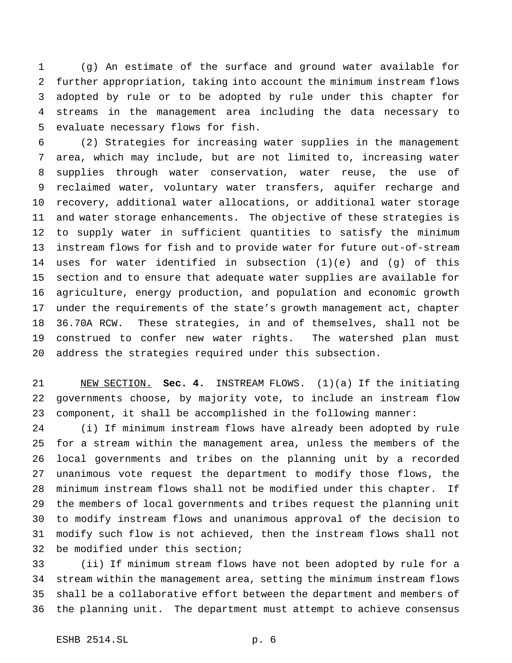(g) An estimate of the surface and ground water available for further appropriation, taking into account the minimum instream flows adopted by rule or to be adopted by rule under this chapter for streams in the management area including the data necessary to evaluate necessary flows for fish.

 (2) Strategies for increasing water supplies in the management area, which may include, but are not limited to, increasing water supplies through water conservation, water reuse, the use of reclaimed water, voluntary water transfers, aquifer recharge and recovery, additional water allocations, or additional water storage and water storage enhancements. The objective of these strategies is to supply water in sufficient quantities to satisfy the minimum instream flows for fish and to provide water for future out-of-stream uses for water identified in subsection (1)(e) and (g) of this section and to ensure that adequate water supplies are available for agriculture, energy production, and population and economic growth under the requirements of the state's growth management act, chapter 36.70A RCW. These strategies, in and of themselves, shall not be construed to confer new water rights. The watershed plan must address the strategies required under this subsection.

 NEW SECTION. **Sec. 4.** INSTREAM FLOWS. (1)(a) If the initiating governments choose, by majority vote, to include an instream flow component, it shall be accomplished in the following manner:

 (i) If minimum instream flows have already been adopted by rule for a stream within the management area, unless the members of the local governments and tribes on the planning unit by a recorded unanimous vote request the department to modify those flows, the minimum instream flows shall not be modified under this chapter. If the members of local governments and tribes request the planning unit to modify instream flows and unanimous approval of the decision to modify such flow is not achieved, then the instream flows shall not be modified under this section;

 (ii) If minimum stream flows have not been adopted by rule for a stream within the management area, setting the minimum instream flows shall be a collaborative effort between the department and members of the planning unit. The department must attempt to achieve consensus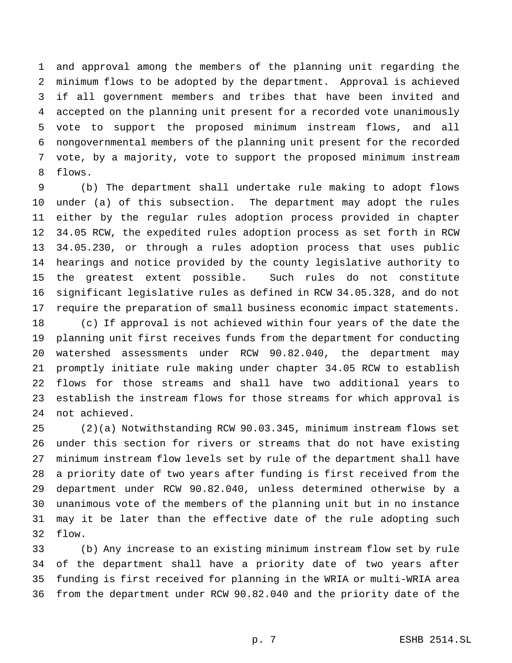and approval among the members of the planning unit regarding the minimum flows to be adopted by the department. Approval is achieved if all government members and tribes that have been invited and accepted on the planning unit present for a recorded vote unanimously vote to support the proposed minimum instream flows, and all nongovernmental members of the planning unit present for the recorded vote, by a majority, vote to support the proposed minimum instream flows.

 (b) The department shall undertake rule making to adopt flows under (a) of this subsection. The department may adopt the rules either by the regular rules adoption process provided in chapter 34.05 RCW, the expedited rules adoption process as set forth in RCW 34.05.230, or through a rules adoption process that uses public hearings and notice provided by the county legislative authority to the greatest extent possible. Such rules do not constitute significant legislative rules as defined in RCW 34.05.328, and do not require the preparation of small business economic impact statements.

 (c) If approval is not achieved within four years of the date the planning unit first receives funds from the department for conducting watershed assessments under RCW 90.82.040, the department may promptly initiate rule making under chapter 34.05 RCW to establish flows for those streams and shall have two additional years to establish the instream flows for those streams for which approval is not achieved.

 (2)(a) Notwithstanding RCW 90.03.345, minimum instream flows set under this section for rivers or streams that do not have existing minimum instream flow levels set by rule of the department shall have a priority date of two years after funding is first received from the department under RCW 90.82.040, unless determined otherwise by a unanimous vote of the members of the planning unit but in no instance may it be later than the effective date of the rule adopting such flow.

 (b) Any increase to an existing minimum instream flow set by rule of the department shall have a priority date of two years after funding is first received for planning in the WRIA or multi-WRIA area from the department under RCW 90.82.040 and the priority date of the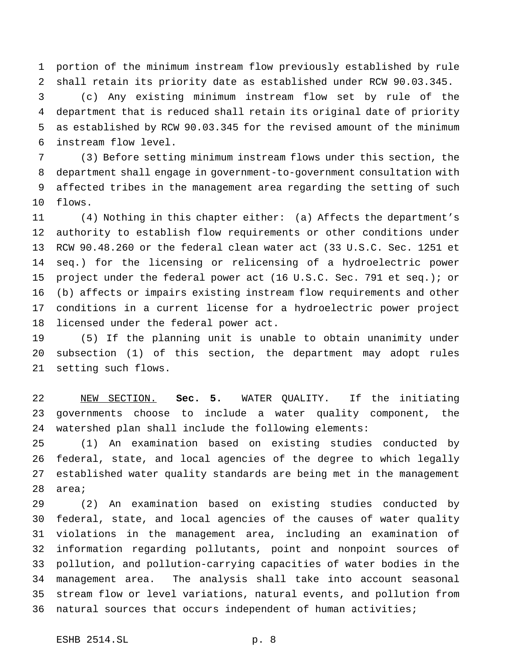portion of the minimum instream flow previously established by rule shall retain its priority date as established under RCW 90.03.345.

 (c) Any existing minimum instream flow set by rule of the department that is reduced shall retain its original date of priority as established by RCW 90.03.345 for the revised amount of the minimum instream flow level.

 (3) Before setting minimum instream flows under this section, the department shall engage in government-to-government consultation with affected tribes in the management area regarding the setting of such flows.

 (4) Nothing in this chapter either: (a) Affects the department's authority to establish flow requirements or other conditions under RCW 90.48.260 or the federal clean water act (33 U.S.C. Sec. 1251 et seq.) for the licensing or relicensing of a hydroelectric power project under the federal power act (16 U.S.C. Sec. 791 et seq.); or (b) affects or impairs existing instream flow requirements and other conditions in a current license for a hydroelectric power project licensed under the federal power act.

 (5) If the planning unit is unable to obtain unanimity under subsection (1) of this section, the department may adopt rules setting such flows.

 NEW SECTION. **Sec. 5.** WATER QUALITY. If the initiating governments choose to include a water quality component, the watershed plan shall include the following elements:

 (1) An examination based on existing studies conducted by federal, state, and local agencies of the degree to which legally established water quality standards are being met in the management area;

 (2) An examination based on existing studies conducted by federal, state, and local agencies of the causes of water quality violations in the management area, including an examination of information regarding pollutants, point and nonpoint sources of pollution, and pollution-carrying capacities of water bodies in the management area. The analysis shall take into account seasonal stream flow or level variations, natural events, and pollution from natural sources that occurs independent of human activities;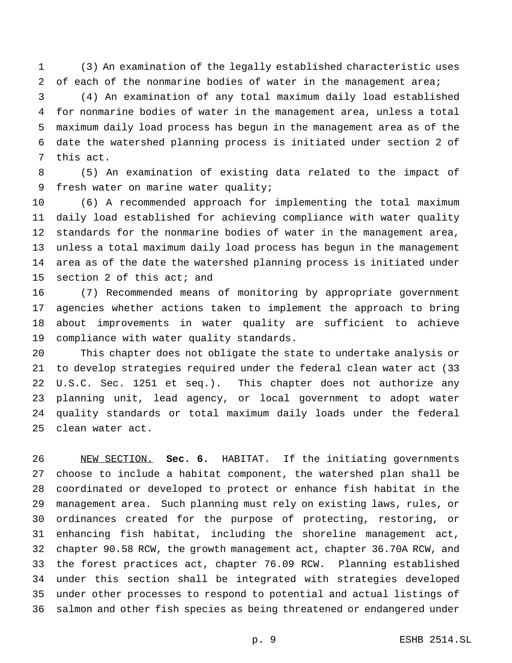(3) An examination of the legally established characteristic uses 2 of each of the nonmarine bodies of water in the management area;

 (4) An examination of any total maximum daily load established for nonmarine bodies of water in the management area, unless a total maximum daily load process has begun in the management area as of the date the watershed planning process is initiated under section 2 of this act.

 (5) An examination of existing data related to the impact of fresh water on marine water quality;

 (6) A recommended approach for implementing the total maximum daily load established for achieving compliance with water quality standards for the nonmarine bodies of water in the management area, unless a total maximum daily load process has begun in the management area as of the date the watershed planning process is initiated under section 2 of this act; and

 (7) Recommended means of monitoring by appropriate government agencies whether actions taken to implement the approach to bring about improvements in water quality are sufficient to achieve compliance with water quality standards.

 This chapter does not obligate the state to undertake analysis or to develop strategies required under the federal clean water act (33 U.S.C. Sec. 1251 et seq.). This chapter does not authorize any planning unit, lead agency, or local government to adopt water quality standards or total maximum daily loads under the federal clean water act.

 NEW SECTION. **Sec. 6.** HABITAT. If the initiating governments choose to include a habitat component, the watershed plan shall be coordinated or developed to protect or enhance fish habitat in the management area. Such planning must rely on existing laws, rules, or ordinances created for the purpose of protecting, restoring, or enhancing fish habitat, including the shoreline management act, chapter 90.58 RCW, the growth management act, chapter 36.70A RCW, and the forest practices act, chapter 76.09 RCW. Planning established under this section shall be integrated with strategies developed under other processes to respond to potential and actual listings of salmon and other fish species as being threatened or endangered under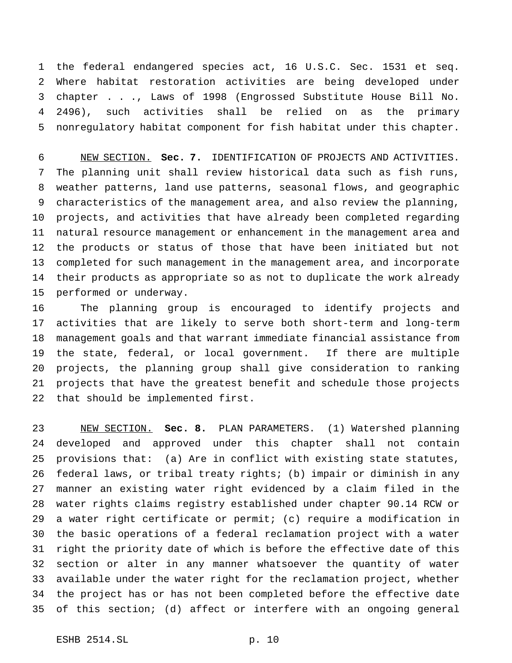the federal endangered species act, 16 U.S.C. Sec. 1531 et seq. Where habitat restoration activities are being developed under chapter . . ., Laws of 1998 (Engrossed Substitute House Bill No. 2496), such activities shall be relied on as the primary nonregulatory habitat component for fish habitat under this chapter.

 NEW SECTION. **Sec. 7.** IDENTIFICATION OF PROJECTS AND ACTIVITIES. The planning unit shall review historical data such as fish runs, weather patterns, land use patterns, seasonal flows, and geographic characteristics of the management area, and also review the planning, projects, and activities that have already been completed regarding natural resource management or enhancement in the management area and the products or status of those that have been initiated but not completed for such management in the management area, and incorporate their products as appropriate so as not to duplicate the work already performed or underway.

 The planning group is encouraged to identify projects and activities that are likely to serve both short-term and long-term management goals and that warrant immediate financial assistance from the state, federal, or local government. If there are multiple projects, the planning group shall give consideration to ranking projects that have the greatest benefit and schedule those projects that should be implemented first.

 NEW SECTION. **Sec. 8.** PLAN PARAMETERS. (1) Watershed planning developed and approved under this chapter shall not contain provisions that: (a) Are in conflict with existing state statutes, federal laws, or tribal treaty rights; (b) impair or diminish in any manner an existing water right evidenced by a claim filed in the water rights claims registry established under chapter 90.14 RCW or a water right certificate or permit; (c) require a modification in the basic operations of a federal reclamation project with a water right the priority date of which is before the effective date of this section or alter in any manner whatsoever the quantity of water available under the water right for the reclamation project, whether the project has or has not been completed before the effective date of this section; (d) affect or interfere with an ongoing general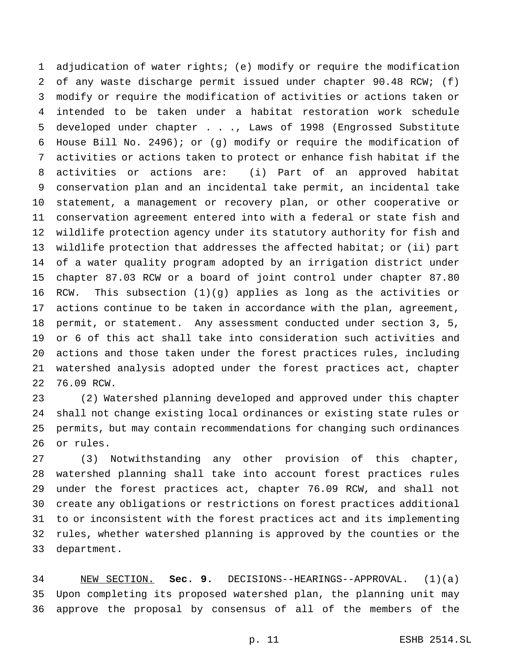adjudication of water rights; (e) modify or require the modification of any waste discharge permit issued under chapter 90.48 RCW; (f) modify or require the modification of activities or actions taken or intended to be taken under a habitat restoration work schedule developed under chapter . . ., Laws of 1998 (Engrossed Substitute House Bill No. 2496); or (g) modify or require the modification of activities or actions taken to protect or enhance fish habitat if the activities or actions are: (i) Part of an approved habitat conservation plan and an incidental take permit, an incidental take statement, a management or recovery plan, or other cooperative or conservation agreement entered into with a federal or state fish and wildlife protection agency under its statutory authority for fish and wildlife protection that addresses the affected habitat; or (ii) part of a water quality program adopted by an irrigation district under chapter 87.03 RCW or a board of joint control under chapter 87.80 RCW. This subsection (1)(g) applies as long as the activities or actions continue to be taken in accordance with the plan, agreement, permit, or statement. Any assessment conducted under section 3, 5, or 6 of this act shall take into consideration such activities and actions and those taken under the forest practices rules, including watershed analysis adopted under the forest practices act, chapter 76.09 RCW.

 (2) Watershed planning developed and approved under this chapter shall not change existing local ordinances or existing state rules or permits, but may contain recommendations for changing such ordinances or rules.

 (3) Notwithstanding any other provision of this chapter, watershed planning shall take into account forest practices rules under the forest practices act, chapter 76.09 RCW, and shall not create any obligations or restrictions on forest practices additional to or inconsistent with the forest practices act and its implementing rules, whether watershed planning is approved by the counties or the department.

 NEW SECTION. **Sec. 9.** DECISIONS--HEARINGS--APPROVAL. (1)(a) Upon completing its proposed watershed plan, the planning unit may approve the proposal by consensus of all of the members of the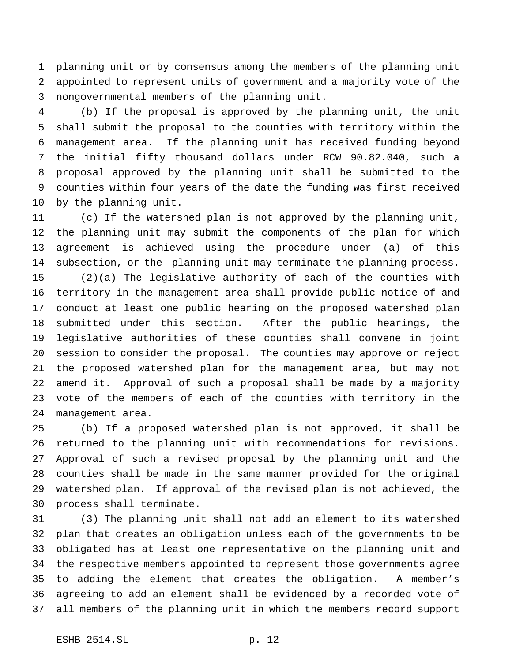planning unit or by consensus among the members of the planning unit appointed to represent units of government and a majority vote of the nongovernmental members of the planning unit.

 (b) If the proposal is approved by the planning unit, the unit shall submit the proposal to the counties with territory within the management area. If the planning unit has received funding beyond the initial fifty thousand dollars under RCW 90.82.040, such a proposal approved by the planning unit shall be submitted to the counties within four years of the date the funding was first received by the planning unit.

 (c) If the watershed plan is not approved by the planning unit, the planning unit may submit the components of the plan for which agreement is achieved using the procedure under (a) of this subsection, or the planning unit may terminate the planning process. (2)(a) The legislative authority of each of the counties with territory in the management area shall provide public notice of and conduct at least one public hearing on the proposed watershed plan submitted under this section. After the public hearings, the legislative authorities of these counties shall convene in joint session to consider the proposal. The counties may approve or reject the proposed watershed plan for the management area, but may not amend it. Approval of such a proposal shall be made by a majority vote of the members of each of the counties with territory in the management area.

 (b) If a proposed watershed plan is not approved, it shall be returned to the planning unit with recommendations for revisions. Approval of such a revised proposal by the planning unit and the counties shall be made in the same manner provided for the original watershed plan. If approval of the revised plan is not achieved, the process shall terminate.

 (3) The planning unit shall not add an element to its watershed plan that creates an obligation unless each of the governments to be obligated has at least one representative on the planning unit and the respective members appointed to represent those governments agree to adding the element that creates the obligation. A member's agreeing to add an element shall be evidenced by a recorded vote of all members of the planning unit in which the members record support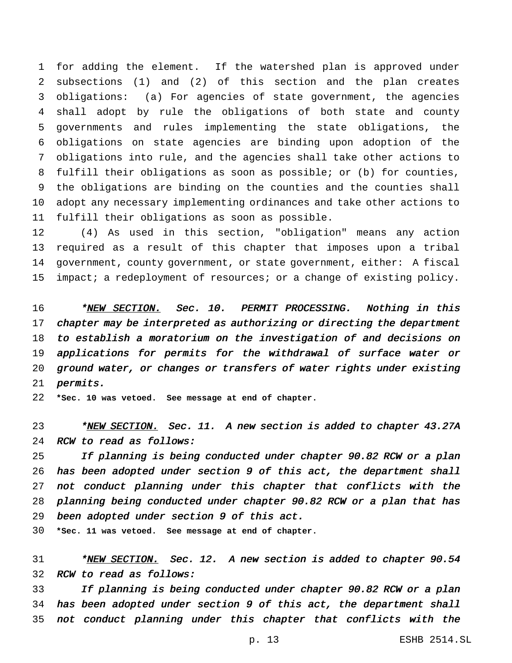for adding the element. If the watershed plan is approved under subsections (1) and (2) of this section and the plan creates obligations: (a) For agencies of state government, the agencies shall adopt by rule the obligations of both state and county governments and rules implementing the state obligations, the obligations on state agencies are binding upon adoption of the obligations into rule, and the agencies shall take other actions to fulfill their obligations as soon as possible; or (b) for counties, the obligations are binding on the counties and the counties shall adopt any necessary implementing ordinances and take other actions to fulfill their obligations as soon as possible.

 (4) As used in this section, "obligation" means any action required as a result of this chapter that imposes upon a tribal government, county government, or state government, either: A fiscal impact; a redeployment of resources; or a change of existing policy.

16 \*NEW SECTION. Sec. 10. PERMIT PROCESSING. Nothing in this 17 chapter may be interpreted as authorizing or directing the department to establish <sup>a</sup> moratorium on the investigation of and decisions on applications for permits for the withdrawal of surface water or ground water, or changes or transfers of water rights under existing permits.

**\*Sec. 10 was vetoed. See message at end of chapter.**

23 \*NEW SECTION. Sec. 11. A new section is added to chapter 43.27A RCW to read as follows:

 If planning is being conducted under chapter 90.82 RCW or <sup>a</sup> plan has been adopted under section <sup>9</sup> of this act, the department shall not conduct planning under this chapter that conflicts with the planning being conducted under chapter 90.82 RCW or <sup>a</sup> plan that has been adopted under section <sup>9</sup> of this act.

**\*Sec. 11 was vetoed. See message at end of chapter.**

31 \*<u>NEW SECTION.</u> Sec. 12. A new section is added to chapter 90.54 RCW to read as follows:

 If planning is being conducted under chapter 90.82 RCW or <sup>a</sup> plan has been adopted under section <sup>9</sup> of this act, the department shall not conduct planning under this chapter that conflicts with the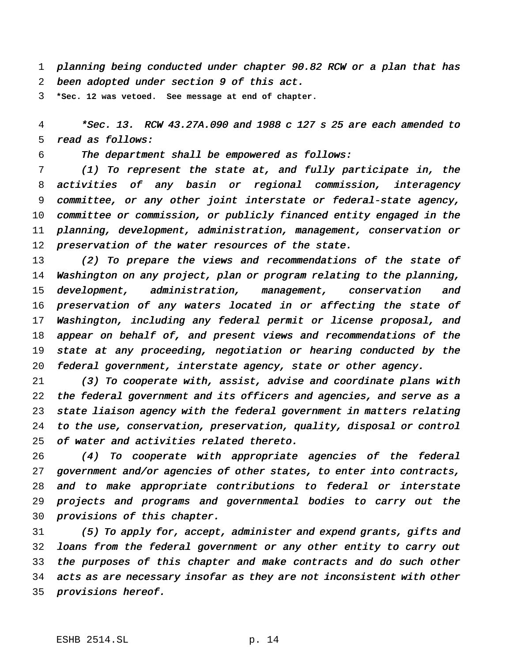planning being conducted under chapter 90.82 RCW or <sup>a</sup> plan that has been adopted under section <sup>9</sup> of this act.

**\*Sec. 12 was vetoed. See message at end of chapter.**

 \*Sec. 13. RCW 43.27A.090 and <sup>1988</sup> <sup>c</sup> <sup>127</sup> <sup>s</sup> <sup>25</sup> are each amended to read as follows:

The department shall be empowered as follows:

 (1) To represent the state at, and fully participate in, the activities of any basin or regional commission, interagency committee, or any other joint interstate or federal-state agency, committee or commission, or publicly financed entity engaged in the planning, development, administration, management, conservation or 12 preservation of the water resources of the state.

 (2) To prepare the views and recommendations of the state of Washington on any project, plan or program relating to the planning, development, administration, management, conservation and preservation of any waters located in or affecting the state of Washington, including any federal permit or license proposal, and 18 appear on behalf of, and present views and recommendations of the 19 state at any proceeding, negotiation or hearing conducted by the federal government, interstate agency, state or other agency.

 (3) To cooperate with, assist, advise and coordinate plans with 22 the federal government and its officers and agencies, and serve as a state liaison agency with the federal government in matters relating to the use, conservation, preservation, quality, disposal or control of water and activities related thereto.

 (4) To cooperate with appropriate agencies of the federal government and/or agencies of other states, to enter into contracts, and to make appropriate contributions to federal or interstate projects and programs and governmental bodies to carry out the provisions of this chapter.

 (5) To apply for, accept, administer and expend grants, gifts and loans from the federal government or any other entity to carry out the purposes of this chapter and make contracts and do such other acts as are necessary insofar as they are not inconsistent with other provisions hereof.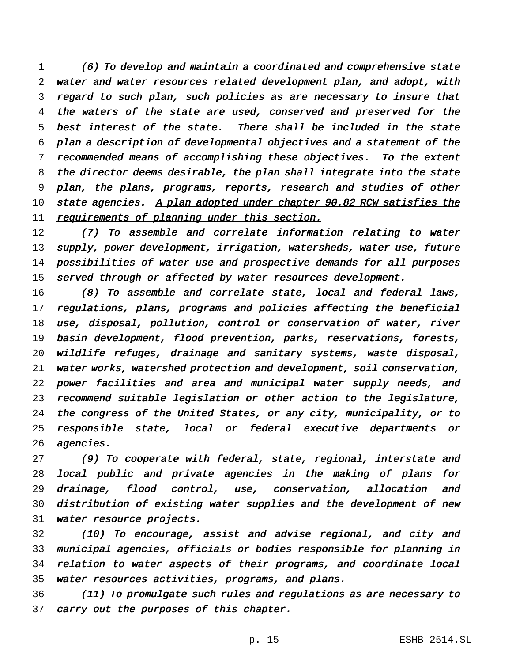(6) To develop and maintain <sup>a</sup> coordinated and comprehensive state water and water resources related development plan, and adopt, with regard to such plan, such policies as are necessary to insure that the waters of the state are used, conserved and preserved for the best interest of the state. There shall be included in the state plan <sup>a</sup> description of developmental objectives and <sup>a</sup> statement of the recommended means of accomplishing these objectives. To the extent the director deems desirable, the plan shall integrate into the state plan, the plans, programs, reports, research and studies of other 10 state agencies. A plan adopted under chapter 90.82 RCW satisfies the 11 requirements of planning under this section.

 (7) To assemble and correlate information relating to water supply, power development, irrigation, watersheds, water use, future possibilities of water use and prospective demands for all purposes 15 served through or affected by water resources development.

 (8) To assemble and correlate state, local and federal laws, regulations, plans, programs and policies affecting the beneficial use, disposal, pollution, control or conservation of water, river basin development, flood prevention, parks, reservations, forests, wildlife refuges, drainage and sanitary systems, waste disposal, water works, watershed protection and development, soil conservation, power facilities and area and municipal water supply needs, and recommend suitable legislation or other action to the legislature, the congress of the United States, or any city, municipality, or to responsible state, local or federal executive departments or agencies.

 (9) To cooperate with federal, state, regional, interstate and local public and private agencies in the making of plans for drainage, flood control, use, conservation, allocation and distribution of existing water supplies and the development of new water resource projects.

 (10) To encourage, assist and advise regional, and city and municipal agencies, officials or bodies responsible for planning in relation to water aspects of their programs, and coordinate local water resources activities, programs, and plans.

 (11) To promulgate such rules and regulations as are necessary to 37 carry out the purposes of this chapter.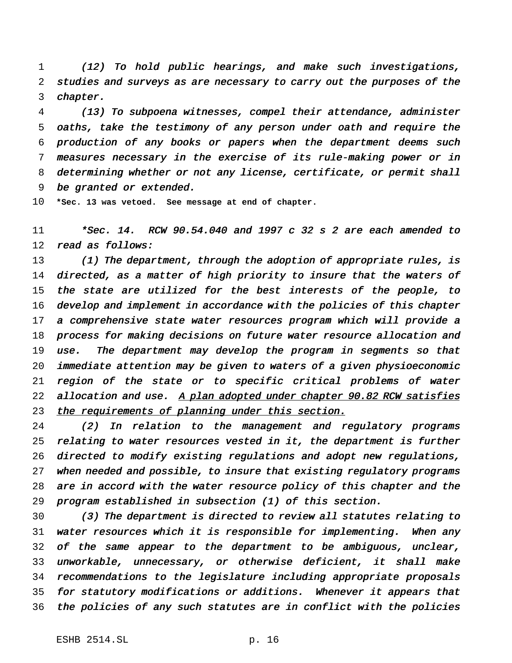(12) To hold public hearings, and make such investigations, studies and surveys as are necessary to carry out the purposes of the chapter.

 (13) To subpoena witnesses, compel their attendance, administer oaths, take the testimony of any person under oath and require the production of any books or papers when the department deems such measures necessary in the exercise of its rule-making power or in determining whether or not any license, certificate, or permit shall be granted or extended.

**\*Sec. 13 was vetoed. See message at end of chapter.**

 \*Sec. 14. RCW 90.54.040 and <sup>1997</sup> <sup>c</sup> <sup>32</sup> <sup>s</sup> <sup>2</sup> are each amended to read as follows:

13 (1) The department, through the adoption of appropriate rules, is 14 directed, as a matter of high priority to insure that the waters of the state are utilized for the best interests of the people, to develop and implement in accordance with the policies of this chapter <sup>a</sup> comprehensive state water resources program which will provide <sup>a</sup> process for making decisions on future water resource allocation and use. The department may develop the program in segments so that immediate attention may be given to waters of <sup>a</sup> given physioeconomic region of the state or to specific critical problems of water 22 allocation and use. A plan adopted under chapter 90.82 RCW satisfies 23 the requirements of planning under this section.

 (2) In relation to the management and regulatory programs relating to water resources vested in it, the department is further directed to modify existing regulations and adopt new regulations, when needed and possible, to insure that existing regulatory programs are in accord with the water resource policy of this chapter and the program established in subsection (1) of this section.

 (3) The department is directed to review all statutes relating to water resources which it is responsible for implementing. When any of the same appear to the department to be ambiguous, unclear, unworkable, unnecessary, or otherwise deficient, it shall make recommendations to the legislature including appropriate proposals for statutory modifications or additions. Whenever it appears that the policies of any such statutes are in conflict with the policies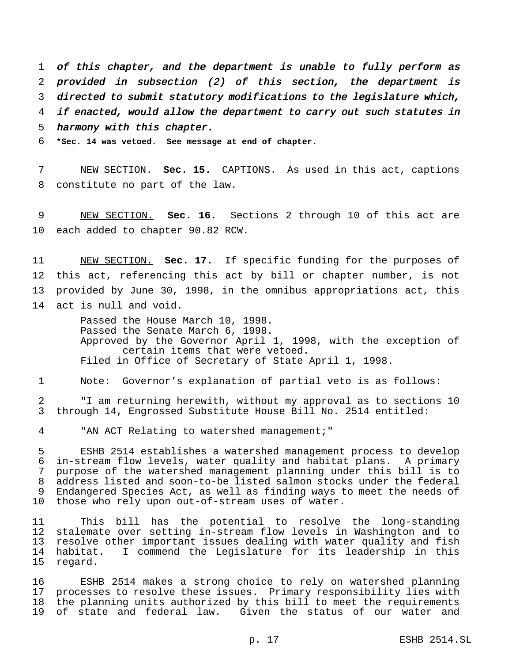of this chapter, and the department is unable to fully perform as provided in subsection (2) of this section, the department is directed to submit statutory modifications to the legislature which, if enacted, would allow the department to carry out such statutes in harmony with this chapter.

**\*Sec. 14 was vetoed. See message at end of chapter.**

 NEW SECTION. **Sec. 15.** CAPTIONS. As used in this act, captions constitute no part of the law.

 NEW SECTION. **Sec. 16.** Sections 2 through 10 of this act are each added to chapter 90.82 RCW.

 NEW SECTION. **Sec. 17.** If specific funding for the purposes of this act, referencing this act by bill or chapter number, is not provided by June 30, 1998, in the omnibus appropriations act, this act is null and void.

> Passed the House March 10, 1998. Passed the Senate March 6, 1998. Approved by the Governor April 1, 1998, with the exception of certain items that were vetoed. Filed in Office of Secretary of State April 1, 1998.

Note: Governor's explanation of partial veto is as follows:

 "I am returning herewith, without my approval as to sections 10 through 14, Engrossed Substitute House Bill No. 2514 entitled:

"AN ACT Relating to watershed management;"

 ESHB 2514 establishes a watershed management process to develop in-stream flow levels, water quality and habitat plans. A primary purpose of the watershed management planning under this bill is to address listed and soon-to-be listed salmon stocks under the federal Endangered Species Act, as well as finding ways to meet the needs of those who rely upon out-of-stream uses of water.

 This bill has the potential to resolve the long-standing stalemate over setting in-stream flow levels in Washington and to resolve other important issues dealing with water quality and fish habitat. I commend the Legislature for its leadership in this regard.

 ESHB 2514 makes a strong choice to rely on watershed planning processes to resolve these issues. Primary responsibility lies with the planning units authorized by this bill to meet the requirements of state and federal law. Given the status of our water and